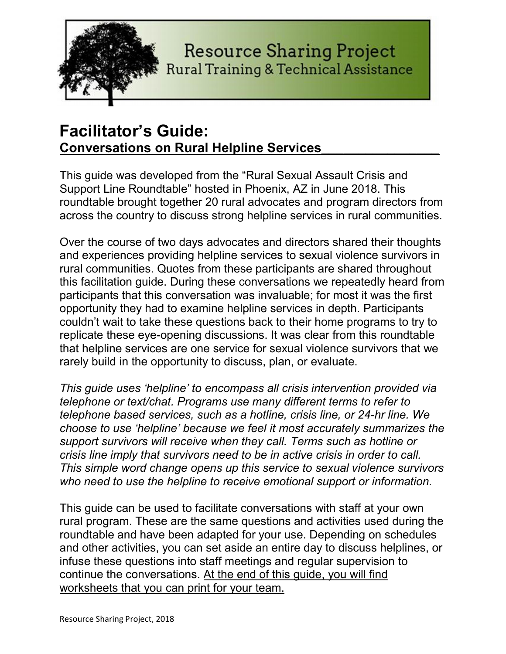

### **Resource Sharing Project Rural Training & Technical Assistance**

### Facilitator's Guide: Conversations on Rural Helpline Services\_\_\_\_\_\_\_\_\_\_\_\_\_\_\_\_

This guide was developed from the "Rural Sexual Assault Crisis and Support Line Roundtable" hosted in Phoenix, AZ in June 2018. This roundtable brought together 20 rural advocates and program directors from across the country to discuss strong helpline services in rural communities.

Over the course of two days advocates and directors shared their thoughts and experiences providing helpline services to sexual violence survivors in rural communities. Quotes from these participants are shared throughout this facilitation guide. During these conversations we repeatedly heard from participants that this conversation was invaluable; for most it was the first opportunity they had to examine helpline services in depth. Participants couldn't wait to take these questions back to their home programs to try to replicate these eye-opening discussions. It was clear from this roundtable that helpline services are one service for sexual violence survivors that we rarely build in the opportunity to discuss, plan, or evaluate.

This guide uses 'helpline' to encompass all crisis intervention provided via telephone or text/chat. Programs use many different terms to refer to telephone based services, such as a hotline, crisis line, or 24-hr line. We choose to use 'helpline' because we feel it most accurately summarizes the support survivors will receive when they call. Terms such as hotline or crisis line imply that survivors need to be in active crisis in order to call. This simple word change opens up this service to sexual violence survivors who need to use the helpline to receive emotional support or information.

This guide can be used to facilitate conversations with staff at your own rural program. These are the same questions and activities used during the roundtable and have been adapted for your use. Depending on schedules and other activities, you can set aside an entire day to discuss helplines, or infuse these questions into staff meetings and regular supervision to continue the conversations. At the end of this guide, you will find worksheets that you can print for your team.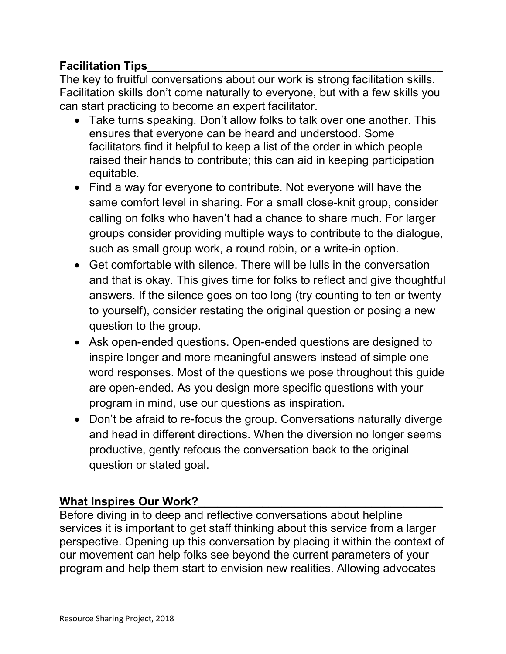#### Facilitation Tips\_\_\_\_\_\_\_\_\_\_\_\_\_\_\_\_\_\_\_\_\_\_\_\_\_\_\_\_\_\_\_\_\_\_\_\_\_\_\_\_\_\_\_\_\_\_

The key to fruitful conversations about our work is strong facilitation skills. Facilitation skills don't come naturally to everyone, but with a few skills you can start practicing to become an expert facilitator.

- Take turns speaking. Don't allow folks to talk over one another. This ensures that everyone can be heard and understood. Some facilitators find it helpful to keep a list of the order in which people raised their hands to contribute; this can aid in keeping participation equitable.
- Find a way for everyone to contribute. Not everyone will have the same comfort level in sharing. For a small close-knit group, consider calling on folks who haven't had a chance to share much. For larger groups consider providing multiple ways to contribute to the dialogue, such as small group work, a round robin, or a write-in option.
- Get comfortable with silence. There will be lulls in the conversation and that is okay. This gives time for folks to reflect and give thoughtful answers. If the silence goes on too long (try counting to ten or twenty to yourself), consider restating the original question or posing a new question to the group.
- Ask open-ended questions. Open-ended questions are designed to inspire longer and more meaningful answers instead of simple one word responses. Most of the questions we pose throughout this guide are open-ended. As you design more specific questions with your program in mind, use our questions as inspiration.
- Don't be afraid to re-focus the group. Conversations naturally diverge and head in different directions. When the diversion no longer seems productive, gently refocus the conversation back to the original question or stated goal.

#### What Inspires Our Work?

Before diving in to deep and reflective conversations about helpline services it is important to get staff thinking about this service from a larger perspective. Opening up this conversation by placing it within the context of our movement can help folks see beyond the current parameters of your program and help them start to envision new realities. Allowing advocates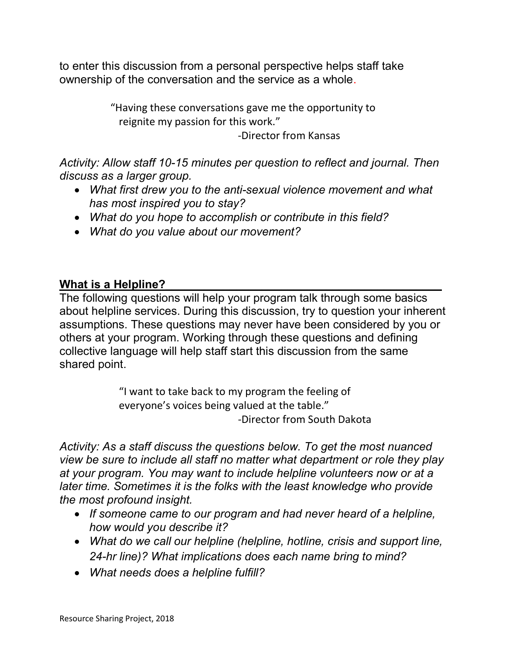to enter this discussion from a personal perspective helps staff take ownership of the conversation and the service as a whole.

> "Having these conversations gave me the opportunity to reignite my passion for this work."

> > -Director from Kansas

Activity: Allow staff 10-15 minutes per question to reflect and journal. Then discuss as a larger group.

- What first drew you to the anti-sexual violence movement and what has most inspired you to stay?
- What do you hope to accomplish or contribute in this field?
- What do you value about our movement?

#### What is a Helpline?

The following questions will help your program talk through some basics about helpline services. During this discussion, try to question your inherent assumptions. These questions may never have been considered by you or others at your program. Working through these questions and defining collective language will help staff start this discussion from the same shared point.

> "I want to take back to my program the feeling of everyone's voices being valued at the table." -Director from South Dakota

Activity: As a staff discuss the questions below. To get the most nuanced view be sure to include all staff no matter what department or role they play at your program. You may want to include helpline volunteers now or at a later time. Sometimes it is the folks with the least knowledge who provide the most profound insight.

- If someone came to our program and had never heard of a helpline, how would you describe it?
- What do we call our helpline (helpline, hotline, crisis and support line, 24-hr line)? What implications does each name bring to mind?
- What needs does a helpline fulfill?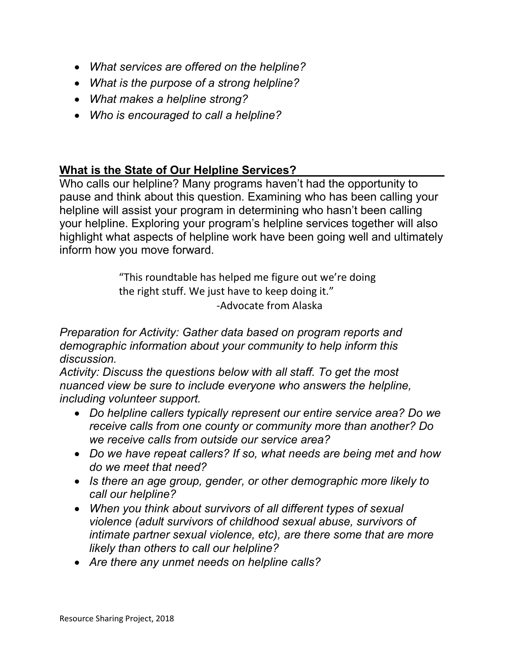- What services are offered on the helpline?
- What is the purpose of a strong helpline?
- What makes a helpline strong?
- Who is encouraged to call a helpline?

#### What is the State of Our Helpline Services?

Who calls our helpline? Many programs haven't had the opportunity to pause and think about this question. Examining who has been calling your helpline will assist your program in determining who hasn't been calling your helpline. Exploring your program's helpline services together will also highlight what aspects of helpline work have been going well and ultimately inform how you move forward.

> "This roundtable has helped me figure out we're doing the right stuff. We just have to keep doing it." -Advocate from Alaska

Preparation for Activity: Gather data based on program reports and demographic information about your community to help inform this discussion.

Activity: Discuss the questions below with all staff. To get the most nuanced view be sure to include everyone who answers the helpline, including volunteer support.

- Do helpline callers typically represent our entire service area? Do we receive calls from one county or community more than another? Do we receive calls from outside our service area?
- Do we have repeat callers? If so, what needs are being met and how do we meet that need?
- Is there an age group, gender, or other demographic more likely to call our helpline?
- When you think about survivors of all different types of sexual violence (adult survivors of childhood sexual abuse, survivors of intimate partner sexual violence, etc), are there some that are more likely than others to call our helpline?
- Are there any unmet needs on helpline calls?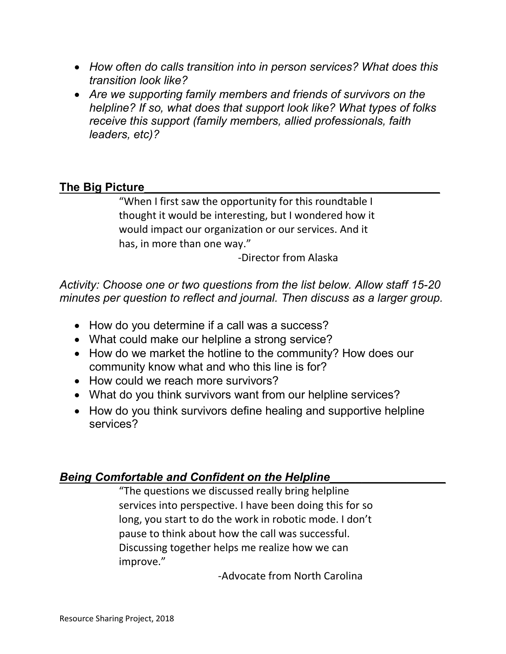- How often do calls transition into in person services? What does this transition look like?
- Are we supporting family members and friends of survivors on the helpline? If so, what does that support look like? What types of folks receive this support (family members, allied professionals, faith leaders, etc)?

#### The Big Picture

"When I first saw the opportunity for this roundtable I thought it would be interesting, but I wondered how it would impact our organization or our services. And it has, in more than one way."

-Director from Alaska

Activity: Choose one or two questions from the list below. Allow staff 15-20 minutes per question to reflect and journal. Then discuss as a larger group.

- How do you determine if a call was a success?
- What could make our helpline a strong service?
- How do we market the hotline to the community? How does our community know what and who this line is for?
- How could we reach more survivors?
- What do you think survivors want from our helpline services?
- How do you think survivors define healing and supportive helpline services?

#### Being Comfortable and Confident on the Helpline\_\_\_\_\_\_\_\_\_\_\_\_\_\_\_\_\_\_

"The questions we discussed really bring helpline services into perspective. I have been doing this for so long, you start to do the work in robotic mode. I don't pause to think about how the call was successful. Discussing together helps me realize how we can improve."

-Advocate from North Carolina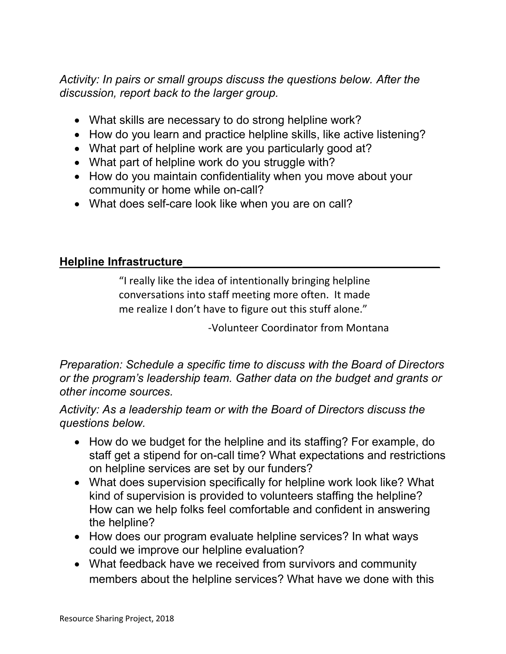Activity: In pairs or small groups discuss the questions below. After the discussion, report back to the larger group.

- What skills are necessary to do strong helpline work?
- How do you learn and practice helpline skills, like active listening?
- What part of helpline work are you particularly good at?
- What part of helpline work do you struggle with?
- How do you maintain confidentiality when you move about your community or home while on-call?
- What does self-care look like when you are on call?

#### Helpline Infrastructure

"I really like the idea of intentionally bringing helpline conversations into staff meeting more often. It made me realize I don't have to figure out this stuff alone."

-Volunteer Coordinator from Montana

Preparation: Schedule a specific time to discuss with the Board of Directors or the program's leadership team. Gather data on the budget and grants or other income sources.

Activity: As a leadership team or with the Board of Directors discuss the questions below.

- How do we budget for the helpline and its staffing? For example, do staff get a stipend for on-call time? What expectations and restrictions on helpline services are set by our funders?
- What does supervision specifically for helpline work look like? What kind of supervision is provided to volunteers staffing the helpline? How can we help folks feel comfortable and confident in answering the helpline?
- How does our program evaluate helpline services? In what ways could we improve our helpline evaluation?
- What feedback have we received from survivors and community members about the helpline services? What have we done with this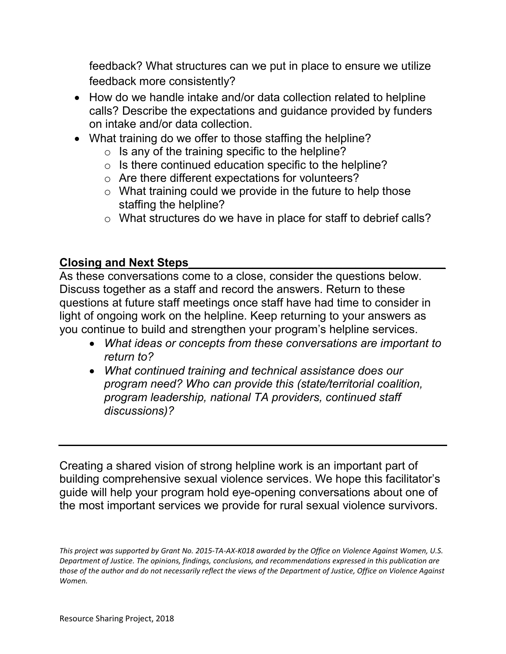feedback? What structures can we put in place to ensure we utilize feedback more consistently?

- How do we handle intake and/or data collection related to helpline calls? Describe the expectations and guidance provided by funders on intake and/or data collection.
- What training do we offer to those staffing the helpline?
	- $\circ$  Is any of the training specific to the helpline?
	- $\circ$  Is there continued education specific to the helpline?
	- o Are there different expectations for volunteers?
	- $\circ$  What training could we provide in the future to help those staffing the helpline?
	- o What structures do we have in place for staff to debrief calls?

#### Closing and Next Steps

As these conversations come to a close, consider the questions below. Discuss together as a staff and record the answers. Return to these questions at future staff meetings once staff have had time to consider in light of ongoing work on the helpline. Keep returning to your answers as you continue to build and strengthen your program's helpline services.

- What ideas or concepts from these conversations are important to return to?
- What continued training and technical assistance does our program need? Who can provide this (state/territorial coalition, program leadership, national TA providers, continued staff discussions)?

Creating a shared vision of strong helpline work is an important part of building comprehensive sexual violence services. We hope this facilitator's guide will help your program hold eye-opening conversations about one of the most important services we provide for rural sexual violence survivors.

This project was supported by Grant No. 2015-TA-AX-K018 awarded by the Office on Violence Against Women, U.S. Department of Justice. The opinions, findings, conclusions, and recommendations expressed in this publication are those of the author and do not necessarily reflect the views of the Department of Justice, Office on Violence Against Women.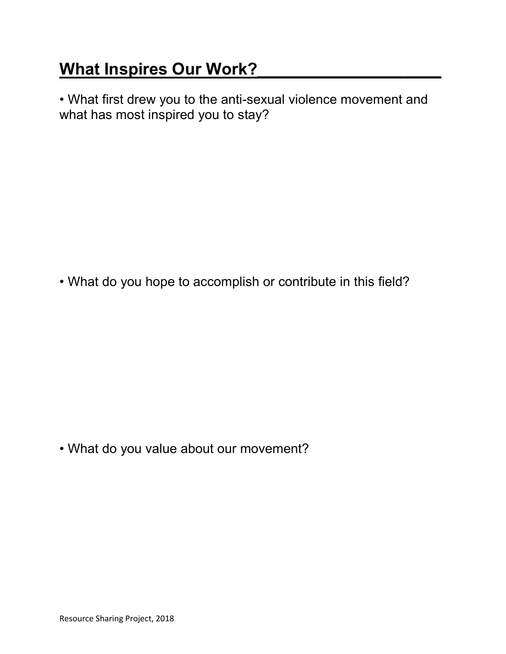# What Inspires Our Work?

• What first drew you to the anti-sexual violence movement and what has most inspired you to stay?

• What do you hope to accomplish or contribute in this field?

• What do you value about our movement?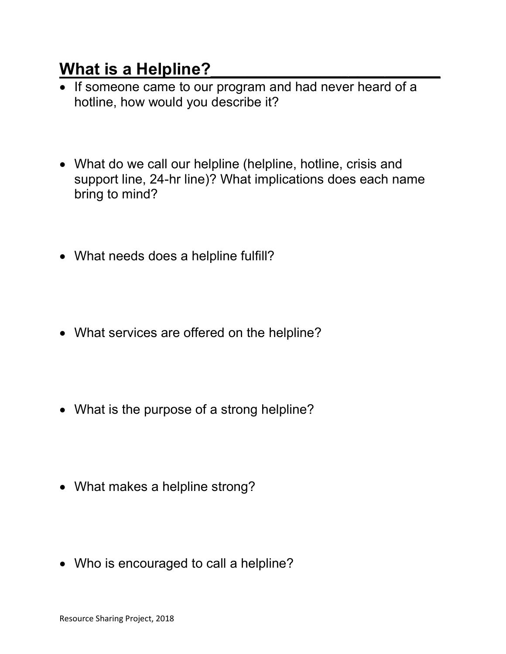### What is a Helpline?

- If someone came to our program and had never heard of a hotline, how would you describe it?
- What do we call our helpline (helpline, hotline, crisis and support line, 24-hr line)? What implications does each name bring to mind?
- What needs does a helpline fulfill?
- What services are offered on the helpline?
- What is the purpose of a strong helpline?
- What makes a helpline strong?
- Who is encouraged to call a helpline?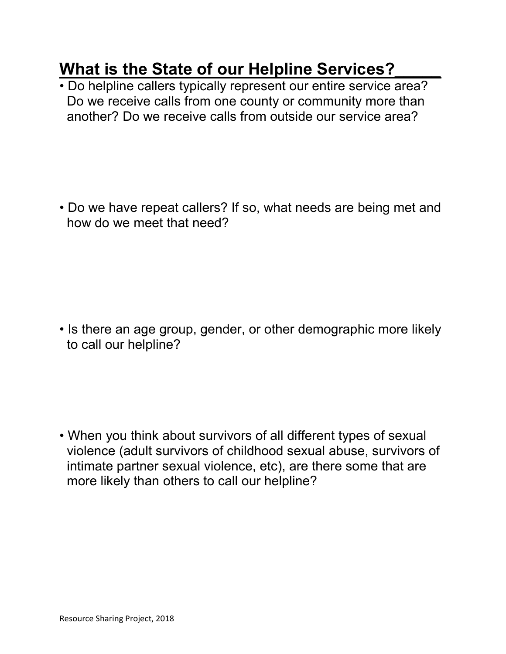## What is the State of our Helpline Services?

• Do helpline callers typically represent our entire service area? Do we receive calls from one county or community more than another? Do we receive calls from outside our service area?

• Do we have repeat callers? If so, what needs are being met and how do we meet that need?

• Is there an age group, gender, or other demographic more likely to call our helpline?

• When you think about survivors of all different types of sexual violence (adult survivors of childhood sexual abuse, survivors of intimate partner sexual violence, etc), are there some that are more likely than others to call our helpline?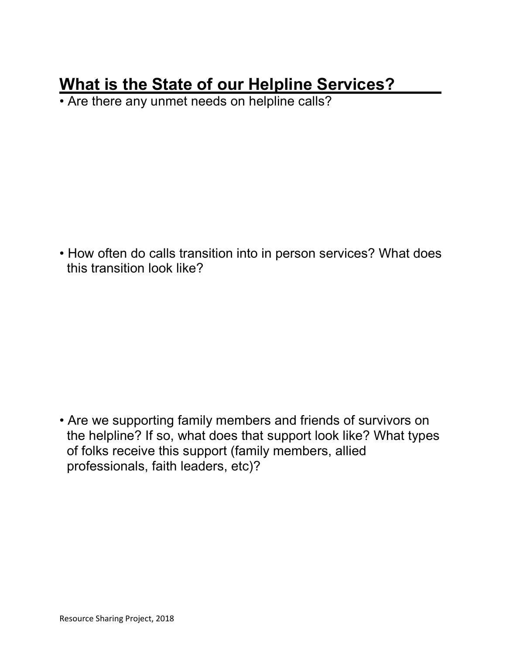## What is the State of our Helpline Services?

• Are there any unmet needs on helpline calls?

• How often do calls transition into in person services? What does this transition look like?

• Are we supporting family members and friends of survivors on the helpline? If so, what does that support look like? What types of folks receive this support (family members, allied professionals, faith leaders, etc)?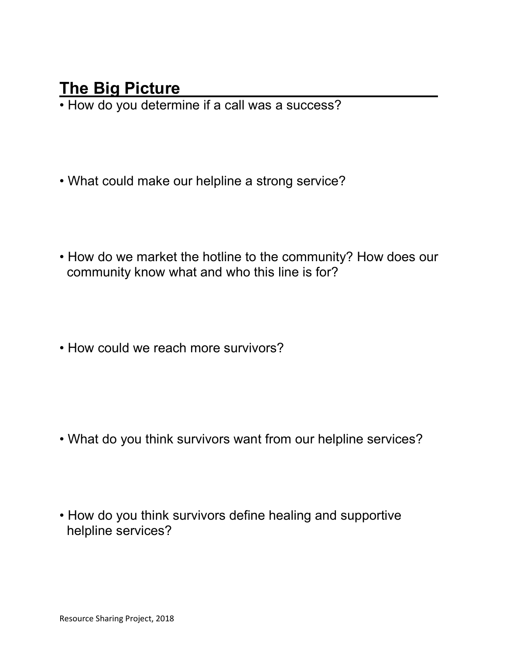### The Big Picture

• How do you determine if a call was a success?

- What could make our helpline a strong service?
- How do we market the hotline to the community? How does our community know what and who this line is for?
- How could we reach more survivors?

- What do you think survivors want from our helpline services?
- How do you think survivors define healing and supportive helpline services?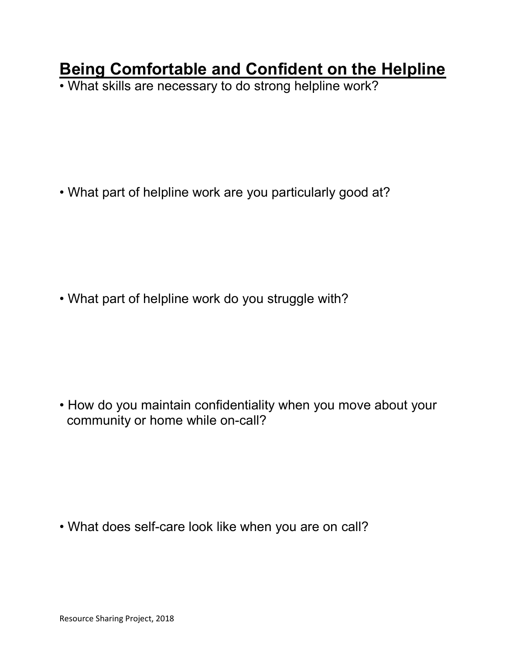## Being Comfortable and Confident on the Helpline

• What skills are necessary to do strong helpline work?

• What part of helpline work are you particularly good at?

• What part of helpline work do you struggle with?

• How do you maintain confidentiality when you move about your community or home while on-call?

• What does self-care look like when you are on call?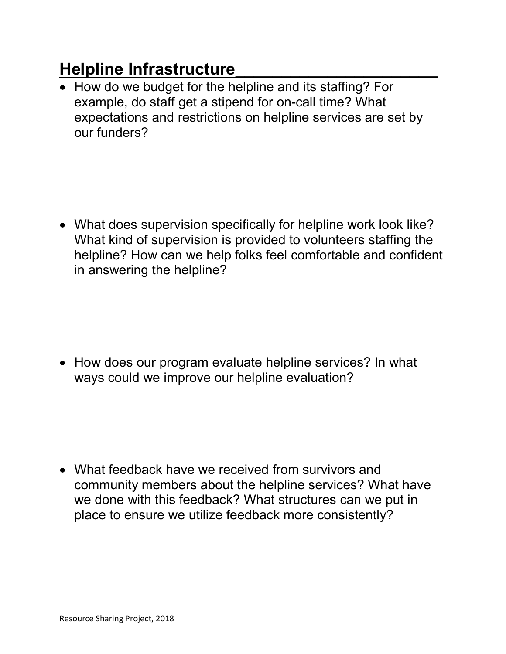# Helpline Infrastructure

• How do we budget for the helpline and its staffing? For example, do staff get a stipend for on-call time? What expectations and restrictions on helpline services are set by our funders?

 What does supervision specifically for helpline work look like? What kind of supervision is provided to volunteers staffing the helpline? How can we help folks feel comfortable and confident in answering the helpline?

• How does our program evaluate helpline services? In what ways could we improve our helpline evaluation?

 What feedback have we received from survivors and community members about the helpline services? What have we done with this feedback? What structures can we put in place to ensure we utilize feedback more consistently?